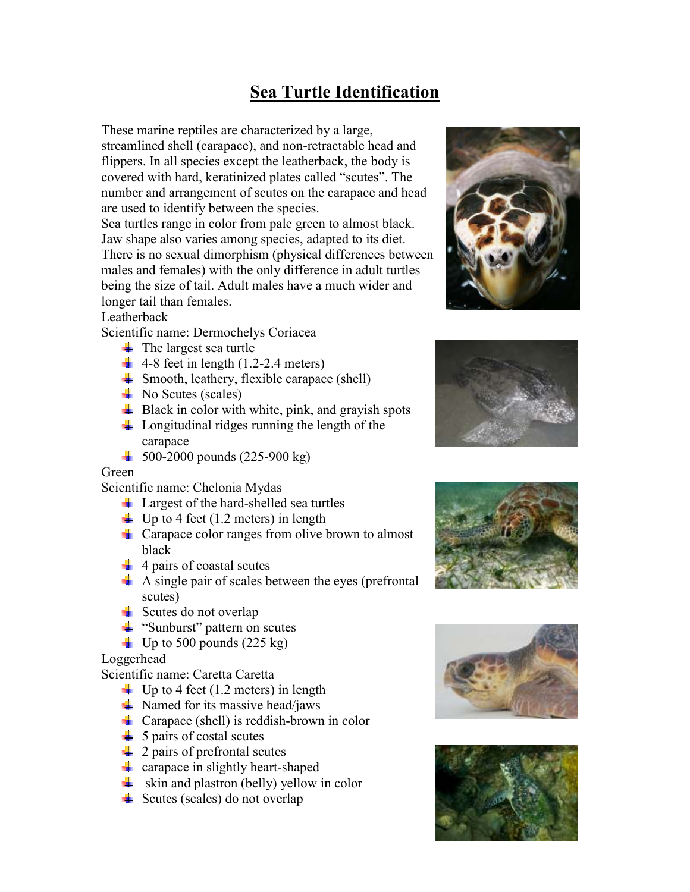# **Sea Turtle Identification**

These marine reptiles are characterized by a large, streamlined shell (carapace), and non-retractable head and flippers. In all species except the leatherback, the body is covered with hard, keratinized plates called "scutes". The number and arrangement of scutes on the carapace and head are used to identify between the species.

Sea turtles range in color from pale green to almost black. Jaw shape also varies among species, adapted to its diet. There is no sexual dimorphism (physical differences between males and females) with the only difference in adult turtles being the size of tail. Adult males have a much wider and longer tail than females.

#### Leatherback

Scientific name: Dermochelys Coriacea

- $\ddot{\bullet}$  The largest sea turtle
- $\leftarrow$  4-8 feet in length (1.2-2.4 meters)
- $\frac{1}{2}$  Smooth, leathery, flexible carapace (shell)
- $\blacksquare$  No Scutes (scales)
- $\overline{\phantom{a}}$  Black in color with white, pink, and grayish spots
- $\downarrow$  Longitudinal ridges running the length of the carapace
- $\frac{1}{2}$  500-2000 pounds (225-900 kg)

#### Green

Scientific name: Chelonia Mydas

- $\perp$  Largest of the hard-shelled sea turtles
- $\downarrow$  Up to 4 feet (1.2 meters) in length
- $\downarrow$  Carapace color ranges from olive brown to almost black
- $\frac{1}{4}$  4 pairs of coastal scutes
- A single pair of scales between the eyes (prefrontal scutes)
- Scutes do not overlap
- $\ddot{\bullet}$  "Sunburst" pattern on scutes
- $\pm$  Up to 500 pounds (225 kg)

Loggerhead

Scientific name: Caretta Caretta

- $\downarrow$  Up to 4 feet (1.2 meters) in length
- $\blacktriangle$  Named for its massive head/jaws
- $\triangleq$  Carapace (shell) is reddish-brown in color
- $\frac{1}{2}$  5 pairs of costal scutes
- $\frac{1}{2}$  2 pairs of prefrontal scutes
- **F** carapace in slightly heart-shaped
- $\frac{1}{2}$  skin and plastron (belly) yellow in color
- $\triangleq$  Scutes (scales) do not overlap









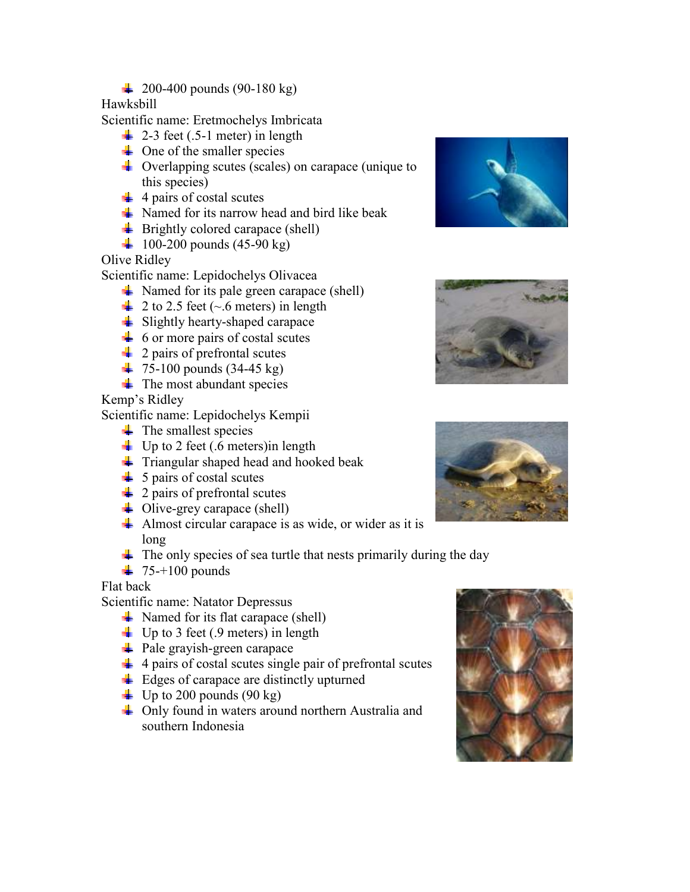$\downarrow$  200-400 pounds (90-180 kg)

### Hawksbill

Scientific name: Eretmochelys Imbricata

- $\downarrow$  2-3 feet (.5-1 meter) in length
- $\downarrow$  One of the smaller species
- **Fi** Overlapping scutes (scales) on carapace (unique to this species)
- $\frac{1}{4}$  4 pairs of costal scutes
- $\frac{1}{2}$  Named for its narrow head and bird like beak
- $\overline{\phantom{a}}$  Brightly colored carapace (shell)
- $\frac{1}{2}$  100-200 pounds (45-90 kg)

### Olive Ridley

Scientific name: Lepidochelys Olivacea

- $\downarrow$  Named for its pale green carapace (shell)
- $\neq 2$  to 2.5 feet (~.6 meters) in length
- $\overline{\phantom{a}}$  Slightly hearty-shaped carapace
- $\div$  6 or more pairs of costal scutes
- <sup>4</sup> 2 pairs of prefrontal scutes
- $\pm$  75-100 pounds (34-45 kg)
- $\blacksquare$  The most abundant species

Kemp's Ridley

Scientific name: Lepidochelys Kempii

- $\ddot{\bullet}$  The smallest species
- $\Box$  Up to 2 feet (.6 meters) in length
- $\pm$  Triangular shaped head and hooked beak
- $\frac{1}{2}$  5 pairs of costal scutes
- $\downarrow$  2 pairs of prefrontal scutes
- $\downarrow$  Olive-grey carapace (shell)
- Almost circular carapace is as wide, or wider as it is long
- $\pm$  The only species of sea turtle that nests primarily during the day
- $\frac{1}{2}$  75-+100 pounds

## Flat back

Scientific name: Natator Depressus

- $\downarrow$  Named for its flat carapace (shell)
- $\blacksquare$  Up to 3 feet (.9 meters) in length
- **→** Pale grayish-green carapace
- $\frac{1}{4}$  4 pairs of costal scutes single pair of prefrontal scutes
- $\overline{\phantom{a}}$  Edges of carapace are distinctly upturned
- $\downarrow$  Up to 200 pounds (90 kg)
- Only found in waters around northern Australia and southern Indonesia